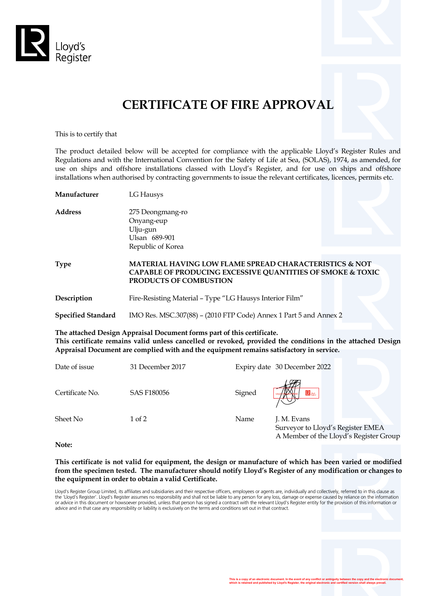

# **CERTIFICATE OF FIRE APPROVAL**

This is to certify that

The product detailed below will be accepted for compliance with the applicable Lloyd's Register Rules and Regulations and with the International Convention for the Safety of Life at Sea, (SOLAS), 1974, as amended, for use on ships and offshore installations classed with Lloyd's Register, and for use on ships and offshore installations when authorised by contracting governments to issue the relevant certificates, licences, permits etc.

**Manufacturer** LG Hausys

**Address** 275 Deongmang-ro Onyang-eup Ulju-gun Ulsan 689-901 Republic of Korea

**Type MATERIAL HAVING LOW FLAME SPREAD CHARACTERISTICS & NOT CAPABLE OF PRODUCING EXCESSIVE QUANTITIES OF SMOKE & TOXIC PRODUCTS OF COMBUSTION**

**Description** Fire-Resisting Material – Type "LG Hausys Interior Film"

**Specified Standard** IMO Res. MSC.307(88) – (2010 FTP Code) Annex 1 Part 5 and Annex 2

**The attached Design Appraisal Document forms part of this certificate.**

**This certificate remains valid unless cancelled or revoked, provided the conditions in the attached Design Appraisal Document are complied with and the equipment remains satisfactory in service.**

| Date of issue   | 31 December 2017 |        | Expiry date 30 December 2022 |  |
|-----------------|------------------|--------|------------------------------|--|
| Certificate No. | SAS F180056      | Signed |                              |  |
| Sheet No        | $1$ of $2$       | Name   | J. M. Evans                  |  |

Surveyor to Lloyd's Register EMEA A Member of the Lloyd's Register Group

**Note:**

**This certificate is not valid for equipment, the design or manufacture of which has been varied or modified from the specimen tested. The manufacturer should notify Lloyd's Register of any modification or changes to the equipment in order to obtain a valid Certificate.**

Lloyd's Register Group Limited, its affiliates and subsidiaries and their respective officers, employees or agents are, individually and collectively, referred to in this clause as the 'Lloyd's Register'. Lloyd's Register assumes no responsibility and shall not be liable to any person for any loss, damage or expense caused by reliance on the information or advice in this document or howsoever provided, unless that person has signed a contract with the relevant Lloyd's Register entity for the provision of this information or advice and in that case any responsibility or liability is exclusively on the terms and conditions set out in that contract.